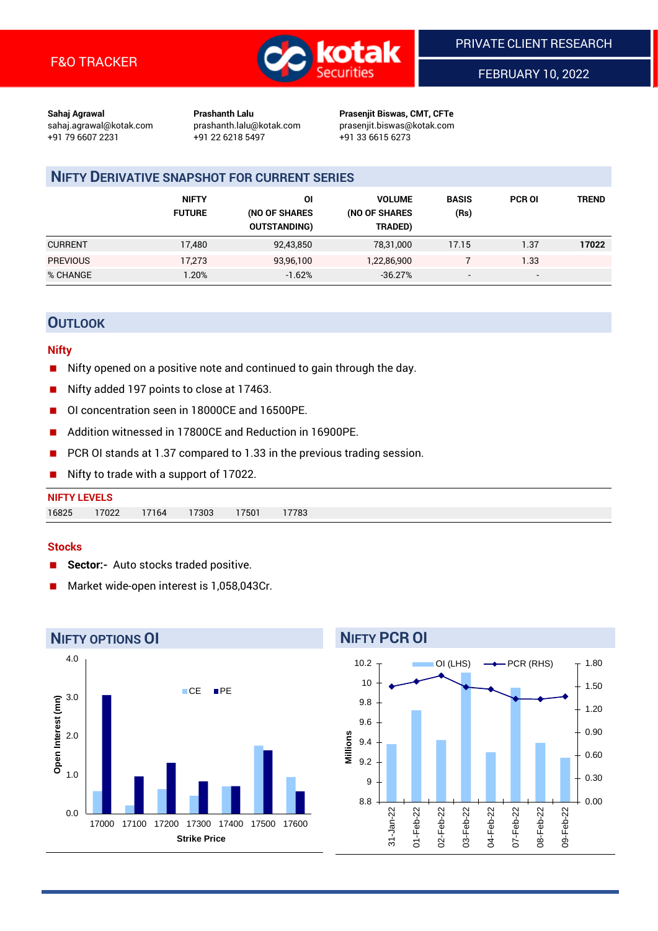

FEBRUARY 10, 2022

**Sahaj Agrawal Prashanth Lalu Prasenjit Biswas, CMT, CFTe** +91 79 6607 2231 +91 22 6218 5497 +91 33 6615 6273

sahaj.agrawal@kotak.com [prashanth.lalu@kotak.com](mailto:prashanth.lalu@kotak.com) prasenjit.biswas@kotak.com

# **NIFTY DERIVATIVE SNAPSHOT FOR CURRENT SERIES**

|                 | <b>NIFTY</b><br><b>FUTURE</b> | ΟI<br>(NO OF SHARES<br><b>OUTSTANDING)</b> | <b>VOLUME</b><br>(NO OF SHARES<br>TRADED) | <b>BASIS</b><br>(Rs)     | <b>PCR OI</b>            | TREND |
|-----------------|-------------------------------|--------------------------------------------|-------------------------------------------|--------------------------|--------------------------|-------|
| <b>CURRENT</b>  | 17,480                        | 92,43,850                                  | 78,31,000                                 | 17.15                    | 1.37                     | 17022 |
| <b>PREVIOUS</b> | 17.273                        | 93,96,100                                  | 1,22,86,900                               |                          | 1.33                     |       |
| % CHANGE        | .20%                          | $-1.62%$                                   | $-36.27%$                                 | $\overline{\phantom{a}}$ | $\overline{\phantom{0}}$ |       |

## **OUTLOOK**

#### **Nifty**

- Nifty opened on a positive note and continued to gain through the day.
- Nifty added 197 points to close at 17463.
- OI concentration seen in 18000CE and 16500PE.
- Addition witnessed in 17800CE and Reduction in 16900PE.
- PCR OI stands at 1.37 compared to 1.33 in the previous trading session.
- Nifty to trade with a support of 17022.

#### **Stocks**

- **Sector:-** Auto stocks traded positive.
- Market wide-open interest is 1,058,043Cr.



# 10

**NIFTY PCR OI**

10.2



OI (LHS)  $\longrightarrow$  PCR (RHS)

1.80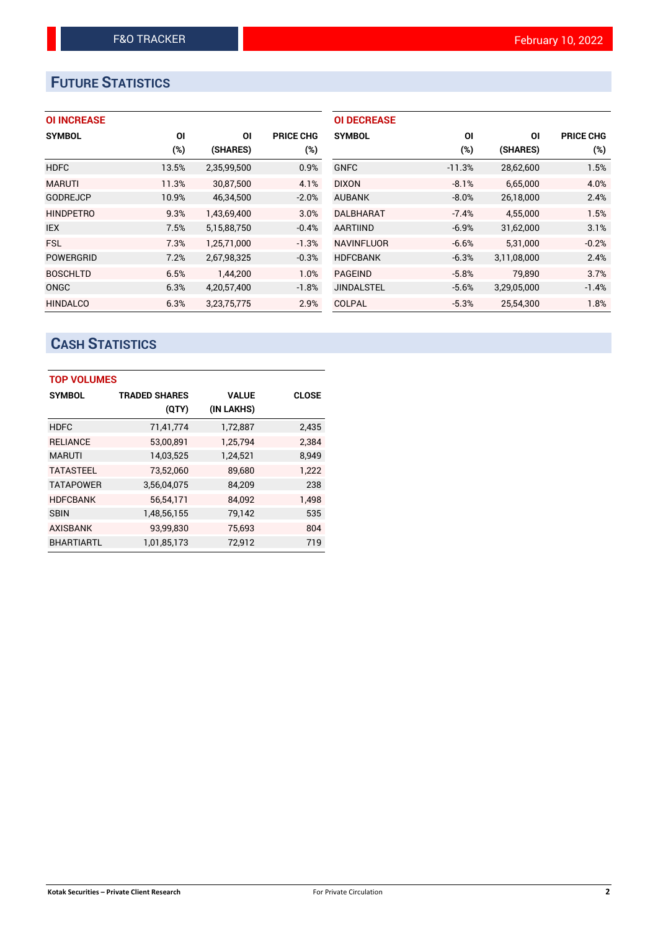# **FUTURE STATISTICS**

| <b>OI INCREASE</b> |  |  |
|--------------------|--|--|
|                    |  |  |

| <b>SYMBOL</b>    | ΟI     | ΟI          | <b>PRICE CHG</b> |
|------------------|--------|-------------|------------------|
|                  | $(\%)$ | (SHARES)    | $(\%)$           |
| <b>HDFC</b>      | 13.5%  | 2,35,99,500 | 0.9%             |
| <b>MARUTI</b>    | 11.3%  | 30,87,500   | 4.1%             |
| <b>GODREJCP</b>  | 10.9%  | 46,34,500   | $-2.0%$          |
| <b>HINDPETRO</b> | 9.3%   | 1,43,69,400 | 3.0%             |
| <b>IEX</b>       | 7.5%   | 5,15,88,750 | $-0.4%$          |
| <b>FSL</b>       | 7.3%   | 1,25,71,000 | $-1.3%$          |
| <b>POWERGRID</b> | 7.2%   | 2,67,98,325 | $-0.3%$          |
| <b>BOSCHLTD</b>  | 6.5%   | 1,44,200    | 1.0%             |
| ONGC             | 6.3%   | 4,20,57,400 | $-1.8%$          |
| <b>HINDALCO</b>  | 6.3%   | 3.23.75.775 | 2.9%             |

| <b>OI DECREASE</b> |          |             |                  |
|--------------------|----------|-------------|------------------|
| <b>SYMBOL</b>      | ΟI       | ΟI          | <b>PRICE CHG</b> |
|                    | (%)      | (SHARES)    | $(\%)$           |
| <b>GNFC</b>        | $-11.3%$ | 28,62,600   | 1.5%             |
| <b>DIXON</b>       | $-8.1%$  | 6,65,000    | 4.0%             |
| <b>AUBANK</b>      | $-8.0%$  | 26,18,000   | 2.4%             |
| <b>DALBHARAT</b>   | $-7.4%$  | 4,55,000    | 1.5%             |
| <b>AARTIIND</b>    | $-6.9%$  | 31,62,000   | 3.1%             |
| <b>NAVINFLUOR</b>  | $-6.6%$  | 5,31,000    | $-0.2%$          |
| <b>HDFCBANK</b>    | $-6.3%$  | 3,11,08,000 | 2.4%             |
| <b>PAGEIND</b>     | $-5.8%$  | 79,890      | 3.7%             |
| <b>JINDALSTEL</b>  | $-5.6%$  | 3,29,05,000 | $-1.4%$          |
| COLPAL             | $-5.3%$  | 25.54.300   | 1.8%             |

# **CASH STATISTICS**

| <b>TOP VOLUMES</b> |                      |              |              |  |  |  |  |
|--------------------|----------------------|--------------|--------------|--|--|--|--|
| <b>SYMBOL</b>      | <b>TRADED SHARES</b> | <b>VALUE</b> | <b>CLOSE</b> |  |  |  |  |
|                    | (QTY)                | (IN LAKHS)   |              |  |  |  |  |
| <b>HDFC</b>        | 71,41,774            | 1,72,887     | 2,435        |  |  |  |  |
| <b>RELIANCE</b>    | 53,00,891            | 1,25,794     | 2.384        |  |  |  |  |
| <b>MARUTI</b>      | 14,03,525            | 1,24,521     | 8,949        |  |  |  |  |
| <b>TATASTEEL</b>   | 73,52,060            | 89,680       | 1,222        |  |  |  |  |
| <b>TATAPOWER</b>   | 3,56,04,075          | 84,209       | 238          |  |  |  |  |
| <b>HDFCBANK</b>    | 56,54,171            | 84,092       | 1.498        |  |  |  |  |
| <b>SBIN</b>        | 1,48,56,155          | 79,142       | 535          |  |  |  |  |
| <b>AXISBANK</b>    | 93,99,830            | 75,693       | 804          |  |  |  |  |
| <b>BHARTIARTL</b>  | 1,01,85,173          | 72,912       | 719          |  |  |  |  |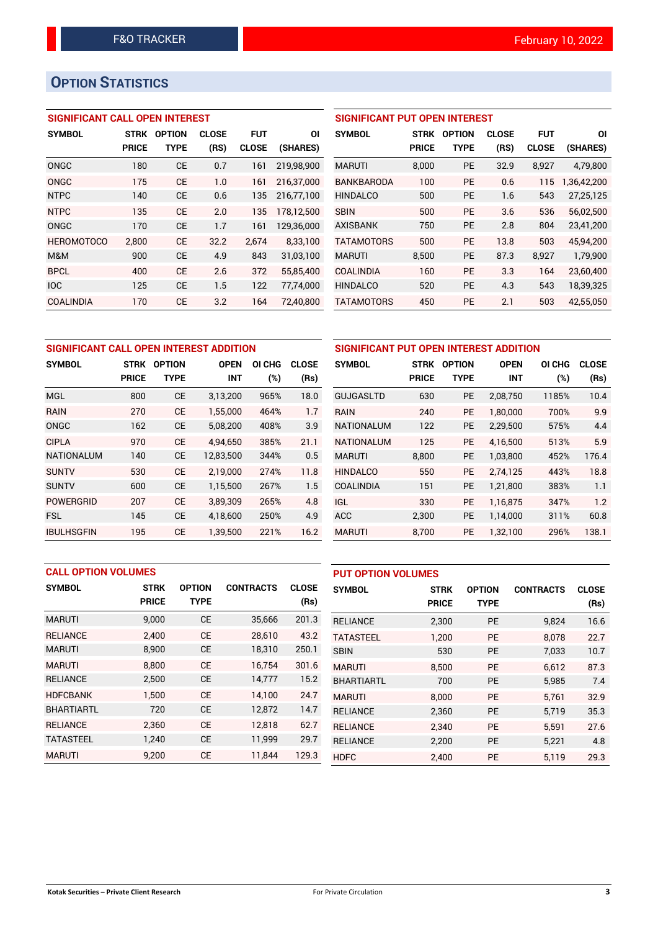# **OPTION STATISTICS**

## **SIGNIFICANT CALL OPEN INTEREST**

| <b>SYMBOL</b>     | <b>STRK</b>  | <b>OPTION</b> | <b>CLOSE</b> | FUT          | ΟI         |
|-------------------|--------------|---------------|--------------|--------------|------------|
|                   | <b>PRICE</b> | TYPE          | (RS)         | <b>CLOSE</b> | (SHARES)   |
| ONGC              | 180          | СE            | 0.7          | 161          | 219,98,900 |
| ONGC              | 175          | <b>CE</b>     | 1.0          | 161          | 216,37,000 |
| <b>NTPC</b>       | 140          | СE            | 0.6          | 135          | 216,77,100 |
| <b>NTPC</b>       | 135          | CF            | 2.0          | 135          | 178,12,500 |
| ONGC              | 170          | CE            | 1.7          | 161          | 129,36,000 |
| <b>HEROMOTOCO</b> | 2.800        | CE            | 32.2         | 2.674        | 8,33,100   |
| M&M               | 900          | CE            | 4.9          | 843          | 31,03,100  |
| <b>BPCL</b>       | 400          | CE            | 2.6          | 372          | 55,85,400  |
| <b>IOC</b>        | 125          | CE            | 1.5          | 122          | 77,74,000  |
| <b>COALINDIA</b>  | 170          | CE            | 3.2          | 164          | 72.40.800  |

## **SIGNIFICANT PUT OPEN INTEREST**

| <b>SYMBOL</b>     | <b>STRK</b><br><b>PRICE</b> | <b>OPTION</b><br>TYPE | <b>CLOSE</b><br>(RS) | <b>FUT</b><br><b>CLOSE</b> | ΟI<br>(SHARES) |
|-------------------|-----------------------------|-----------------------|----------------------|----------------------------|----------------|
| <b>MARUTI</b>     | 8.000                       | <b>PE</b>             | 32.9                 | 8,927                      | 4,79,800       |
| <b>BANKBARODA</b> | 100                         | PF                    | 0.6                  | 115                        | 1,36,42,200    |
| <b>HINDALCO</b>   | 500                         | PF                    | 1.6                  | 543                        | 27,25,125      |
| <b>SBIN</b>       | 500                         | PF                    | 3.6                  | 536                        | 56.02.500      |
| <b>AXISBANK</b>   | 750                         | PF                    | 2.8                  | 804                        | 23,41,200      |
| <b>TATAMOTORS</b> | 500                         | PF                    | 13.8                 | 503                        | 45,94,200      |
| <b>MARUTI</b>     | 8,500                       | PF                    | 87.3                 | 8,927                      | 1,79,900       |
| <b>COALINDIA</b>  | 160                         | PF                    | 3.3                  | 164                        | 23,60,400      |
| <b>HINDALCO</b>   | 520                         | PF                    | 4.3                  | 543                        | 18,39,325      |
| <b>TATAMOTORS</b> | 450                         | PE                    | 2.1                  | 503                        | 42,55,050      |

| SIGNIFICANT CALL OPEN INTEREST ADDITION | <b>SIGNIFICANT PI</b> |               |             |        |              |                   |
|-----------------------------------------|-----------------------|---------------|-------------|--------|--------------|-------------------|
| <b>SYMBOL</b>                           | <b>STRK</b>           | <b>OPTION</b> | <b>OPEN</b> | OI CHG | <b>CLOSE</b> | <b>SYMBOL</b>     |
|                                         | <b>PRICE</b>          | <b>TYPE</b>   | <b>INT</b>  | (%)    | (Rs)         |                   |
| <b>MGL</b>                              | 800                   | <b>CE</b>     | 3,13,200    | 965%   | 18.0         | <b>GUJGASLTD</b>  |
| <b>RAIN</b>                             | 270                   | <b>CE</b>     | 1.55.000    | 464%   | 1.7          | <b>RAIN</b>       |
| <b>ONGC</b>                             | 162                   | <b>CE</b>     | 5,08,200    | 408%   | 3.9          | <b>NATIONALUM</b> |
| <b>CIPLA</b>                            | 970                   | <b>CE</b>     | 4.94.650    | 385%   | 21.1         | <b>NATIONALUM</b> |
| <b>NATIONALUM</b>                       | 140                   | <b>CE</b>     | 12,83,500   | 344%   | 0.5          | <b>MARUTI</b>     |
| <b>SUNTV</b>                            | 530                   | <b>CE</b>     | 2.19.000    | 274%   | 11.8         | <b>HINDALCO</b>   |
| <b>SUNTV</b>                            | 600                   | <b>CE</b>     | 1,15,500    | 267%   | 1.5          | <b>COALINDIA</b>  |
| <b>POWERGRID</b>                        | 207                   | <b>CE</b>     | 3,89,309    | 265%   | 4.8          | <b>IGL</b>        |
| <b>FSL</b>                              | 145                   | <b>CE</b>     | 4,18,600    | 250%   | 4.9          | <b>ACC</b>        |
| <b>IBULHSGFIN</b>                       | 195                   | <b>CE</b>     | 1,39,500    | 221%   | 16.2         | <b>MARUTI</b>     |

| SIGNIFICANT PUT OPEN INTEREST ADDITION |              |               |             |        |              |  |  |  |
|----------------------------------------|--------------|---------------|-------------|--------|--------------|--|--|--|
| <b>SYMBOL</b>                          | <b>STRK</b>  | <b>OPTION</b> | <b>OPEN</b> | OI CHG | <b>CLOSE</b> |  |  |  |
|                                        | <b>PRICE</b> | <b>TYPE</b>   | <b>INT</b>  | (%)    | (Rs)         |  |  |  |
| <b>GUJGASLTD</b>                       | 630          | <b>PE</b>     | 2,08,750    | 1185%  | 10.4         |  |  |  |
| RAIN                                   | 240          | <b>PE</b>     | 1,80,000    | 700%   | 9.9          |  |  |  |
| <b>NATIONALUM</b>                      | 122          | <b>PE</b>     | 2,29,500    | 575%   | 4.4          |  |  |  |
| <b>NATIONALUM</b>                      | 125          | <b>PE</b>     | 4,16,500    | 513%   | 5.9          |  |  |  |
| <b>MARUTI</b>                          | 8,800        | <b>PE</b>     | 1,03,800    | 452%   | 176.4        |  |  |  |
| <b>HINDALCO</b>                        | 550          | <b>PE</b>     | 2.74.125    | 443%   | 18.8         |  |  |  |
| COALINDIA                              | 151          | <b>PE</b>     | 1,21,800    | 383%   | 1.1          |  |  |  |
| <b>IGL</b>                             | 330          | <b>PE</b>     | 1,16,875    | 347%   | 1.2          |  |  |  |
| <b>ACC</b>                             | 2,300        | <b>PE</b>     | 1,14,000    | 311%   | 60.8         |  |  |  |
| <b>MARUTI</b>                          | 8,700        | <b>PE</b>     | 1,32,100    | 296%   | 138.1        |  |  |  |

|                   | <b>CALL OPTION VOLUMES</b> |               |                  |              | <b>PUT OPTION VOLUMES</b> |              |               |                  |              |
|-------------------|----------------------------|---------------|------------------|--------------|---------------------------|--------------|---------------|------------------|--------------|
| <b>SYMBOL</b>     | <b>STRK</b>                | <b>OPTION</b> | <b>CONTRACTS</b> | <b>CLOSE</b> | <b>SYMBOL</b>             | <b>STRK</b>  | <b>OPTION</b> | <b>CONTRACTS</b> | <b>CLOSE</b> |
|                   | <b>PRICE</b>               | <b>TYPE</b>   |                  | (Rs)         |                           | <b>PRICE</b> | <b>TYPE</b>   |                  | (Rs)         |
| <b>MARUTI</b>     | 9,000                      | <b>CE</b>     | 35,666           | 201.3        | <b>RELIANCE</b>           | 2,300        | <b>PE</b>     | 9,824            | 16.6         |
| <b>RELIANCE</b>   | 2,400                      | <b>CE</b>     | 28,610           | 43.2         | <b>TATASTEEL</b>          | 1,200        | <b>PE</b>     | 8.078            | 22.7         |
| <b>MARUTI</b>     | 8,900                      | <b>CE</b>     | 18,310           | 250.1        | <b>SBIN</b>               | 530          | <b>PE</b>     | 7,033            | 10.7         |
| <b>MARUTI</b>     | 8.800                      | <b>CE</b>     | 16,754           | 301.6        | <b>MARUTI</b>             | 8.500        | <b>PE</b>     | 6.612            | 87.3         |
| <b>RELIANCE</b>   | 2,500                      | <b>CE</b>     | 14,777           | 15.2         | <b>BHARTIARTL</b>         | 700          | <b>PE</b>     | 5,985            | 7.4          |
| <b>HDFCBANK</b>   | 1,500                      | <b>CE</b>     | 14,100           | 24.7         | <b>MARUTI</b>             | 8.000        | <b>PE</b>     | 5.761            | 32.9         |
| <b>BHARTIARTL</b> | 720                        | <b>CE</b>     | 12,872           | 14.7         | <b>RELIANCE</b>           | 2,360        | <b>PE</b>     | 5,719            | 35.3         |
| <b>RELIANCE</b>   | 2.360                      | <b>CE</b>     | 12.818           | 62.7         | <b>RELIANCE</b>           | 2,340        | <b>PE</b>     | 5.591            | 27.6         |
| <b>TATASTEEL</b>  | 1.240                      | <b>CE</b>     | 11,999           | 29.7         | <b>RELIANCE</b>           | 2,200        | <b>PE</b>     | 5,221            | 4.8          |
| <b>MARUTI</b>     | 9.200                      | <b>CE</b>     | 11.844           | 129.3        | <b>HDFC</b>               | 2.400        | PE            | 5,119            | 29.3         |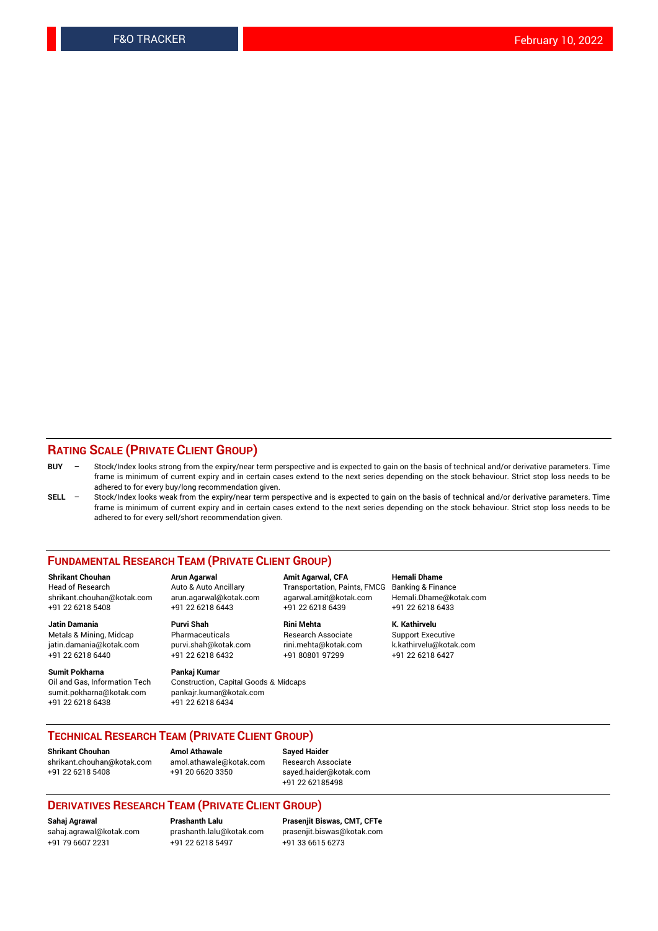## **RATING SCALE (PRIVATE CLIENT GROUP)**

- **BUY**  Stock/Index looks strong from the expiry/near term perspective and is expected to gain on the basis of technical and/or derivative parameters. Time frame is minimum of current expiry and in certain cases extend to the next series depending on the stock behaviour. Strict stop loss needs to be adhered to for every buy/long recommendation given.
- **SELL** Stock/Index looks weak from the expiry/near term perspective and is expected to gain on the basis of technical and/or derivative parameters. Time frame is minimum of current expiry and in certain cases extend to the next series depending on the stock behaviour. Strict stop loss needs to be adhered to for every sell/short recommendation given.

#### **FUNDAMENTAL RESEARCH TEAM (PRIVATE CLIENT GROUP)**

**Shrikant Chouhan Arun Agarwal Amit Agarwal, CFA Hemali Dhame** shrikant.chouhan@kotak.com arun.agarwal@kotak.com agarwal.amit@kotak.com Hemali.Dhame@kotak.com +91 22 6218 5408 +91 22 6218 6443 +91 22 6218 6439 +91 22 6218 6433

Metals & Mining, Midcap Pharmaceuticals Pharmaceuticals Research Associate Support Executive<br>
iatin.damania@kotak.com purvi.shah@kotak.com rini.mehta@kotak.com k.kathirvelu@kotak.com jatin.damania@kotak.com

**Sumit Pokharna** Pankaj Kumar<br>Oil and Gas, Information Tech Construction, sumit.pokharna@kotak.com pankajr.kumar@kotak.com +91 22 6218 6438 +91 22 6218 6434

Construction, Capital Goods & Midcaps

Transportation, Paints, FMCG

**Jatin Damania Purvi Shah Rini Mehta K. Kathirvelu** +91 22 6218 6440 +91 22 6218 6432 +91 80801 97299 +91 22 6218 6427

## **TECHNICAL RESEARCH TEAM (PRIVATE CLIENT GROUP)**

**Shrikant Chouhan Amol Athawale Sayed Haider** [shrikant.chouhan@kotak.com](mailto:shrikant.chouhan@kotak.com) [amol.athawale@kotak.com](mailto:amol.athawale@kotak.com) Research Associate +91 22 6218 5408 +91 20 6620 3350 [sayed.haider@kotak.com](mailto:sayed.haider@kotak.com)

+91 22 62185498

#### **DERIVATIVES RESEARCH TEAM (PRIVATE CLIENT GROUP)**

+91 79 6607 2231 +91 22 6218 5497 +91 33 6615 6273

**Sahaj Agrawal Prashanth Lalu Prasenjit Biswas, CMT, CFTe** [prasenjit.biswas@kotak.com](mailto:prasenjit.biswas@kotak.com)